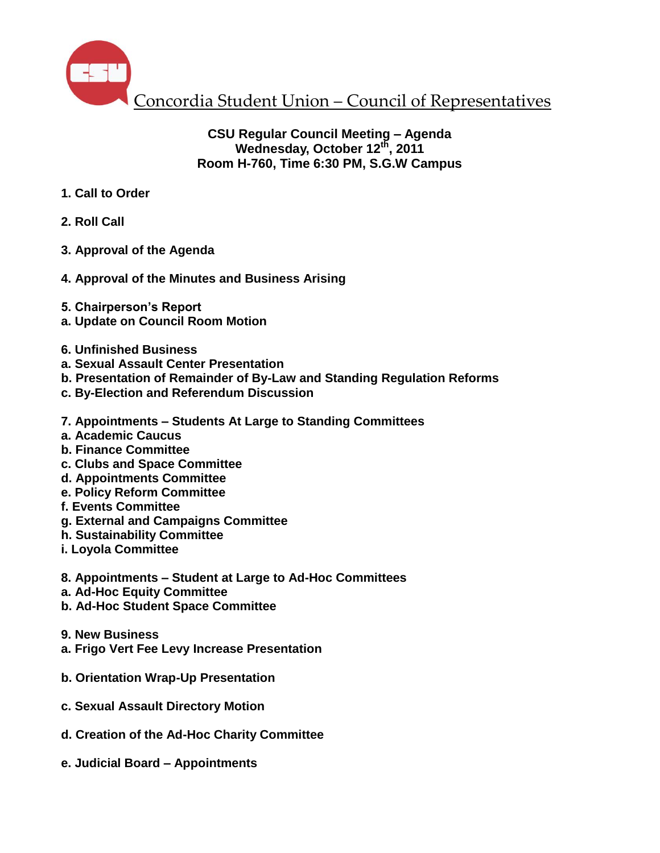

## **CSU Regular Council Meeting – Agenda Wednesday, October 12th, 2011 Room H-760, Time 6:30 PM, S.G.W Campus**

- **1. Call to Order**
- **2. Roll Call**
- **3. Approval of the Agenda**
- **4. Approval of the Minutes and Business Arising**
- **5. Chairperson's Report**
- **a. Update on Council Room Motion**
- **6. Unfinished Business**
- **a. Sexual Assault Center Presentation**
- **b. Presentation of Remainder of By-Law and Standing Regulation Reforms**
- **c. By-Election and Referendum Discussion**
- **7. Appointments – Students At Large to Standing Committees**
- **a. Academic Caucus**
- **b. Finance Committee**
- **c. Clubs and Space Committee**
- **d. Appointments Committee**
- **e. Policy Reform Committee**
- **f. Events Committee**
- **g. External and Campaigns Committee**
- **h. Sustainability Committee**
- **i. Loyola Committee**
- **8. Appointments – Student at Large to Ad-Hoc Committees**
- **a. Ad-Hoc Equity Committee**
- **b. Ad-Hoc Student Space Committee**
- **9. New Business**
- **a. Frigo Vert Fee Levy Increase Presentation**
- **b. Orientation Wrap-Up Presentation**
- **c. Sexual Assault Directory Motion**
- **d. Creation of the Ad-Hoc Charity Committee**
- **e. Judicial Board – Appointments**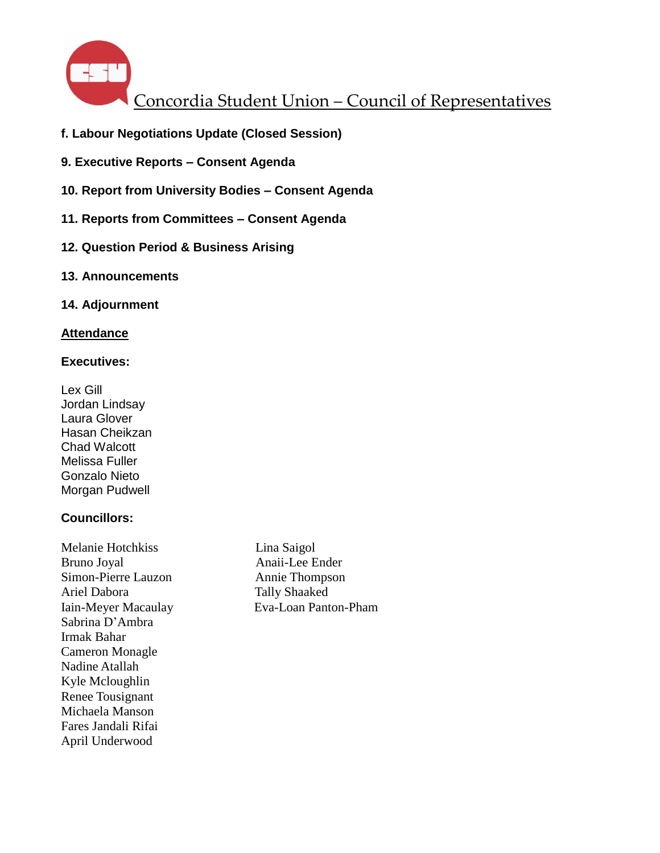

- **f. Labour Negotiations Update (Closed Session)**
- **9. Executive Reports – Consent Agenda**
- **10. Report from University Bodies – Consent Agenda**
- **11. Reports from Committees – Consent Agenda**
- **12. Question Period & Business Arising**
- **13. Announcements**
- **14. Adjournment**

#### **Attendance**

#### **Executives:**

Lex Gill Jordan Lindsay Laura Glover Hasan Cheikzan Chad Walcott Melissa Fuller Gonzalo Nieto Morgan Pudwell

### **Councillors:**

Melanie Hotchkiss Lina Saigol Bruno Joyal Anaii-Lee Ender Simon-Pierre Lauzon Annie Thompson Ariel Dabora Tally Shaaked Sabrina D'Ambra Irmak Bahar Cameron Monagle Nadine Atallah Kyle Mcloughlin Renee Tousignant Michaela Manson Fares Jandali Rifai April Underwood

Iain-Meyer Macaulay Eva-Loan Panton-Pham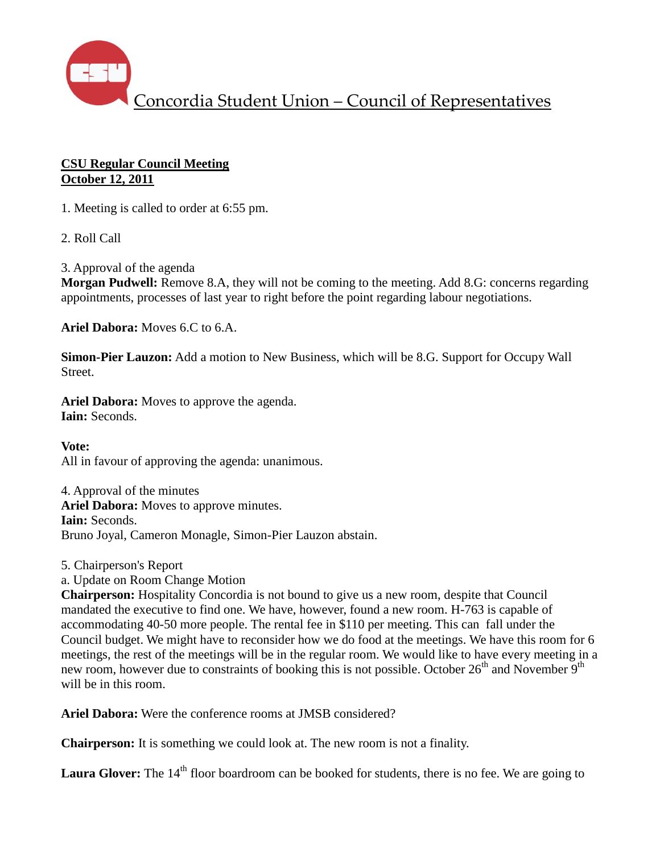

## **CSU Regular Council Meeting October 12, 2011**

1. Meeting is called to order at 6:55 pm.

2. Roll Call

3. Approval of the agenda

**Morgan Pudwell:** Remove 8.A, they will not be coming to the meeting. Add 8.G: concerns regarding appointments, processes of last year to right before the point regarding labour negotiations.

**Ariel Dabora:** Moves 6.C to 6.A.

**Simon-Pier Lauzon:** Add a motion to New Business, which will be 8.G. Support for Occupy Wall Street.

**Ariel Dabora:** Moves to approve the agenda. **Iain:** Seconds.

**Vote:** All in favour of approving the agenda: unanimous.

4. Approval of the minutes **Ariel Dabora:** Moves to approve minutes. **Iain:** Seconds. Bruno Joyal, Cameron Monagle, Simon-Pier Lauzon abstain.

5. Chairperson's Report

a. Update on Room Change Motion

**Chairperson:** Hospitality Concordia is not bound to give us a new room, despite that Council mandated the executive to find one. We have, however, found a new room. H-763 is capable of accommodating 40-50 more people. The rental fee in \$110 per meeting. This can fall under the Council budget. We might have to reconsider how we do food at the meetings. We have this room for 6 meetings, the rest of the meetings will be in the regular room. We would like to have every meeting in a new room, however due to constraints of booking this is not possible. October 26<sup>th</sup> and November 9<sup>th</sup> will be in this room.

**Ariel Dabora:** Were the conference rooms at JMSB considered?

**Chairperson:** It is something we could look at. The new room is not a finality.

**Laura Glover:** The 14<sup>th</sup> floor boardroom can be booked for students, there is no fee. We are going to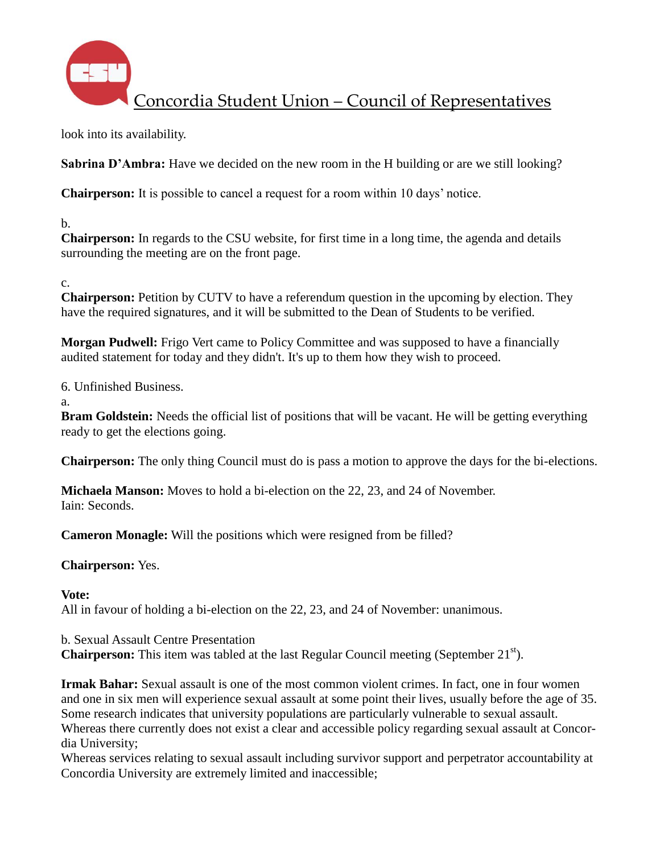

look into its availability.

**Sabrina D'Ambra:** Have we decided on the new room in the H building or are we still looking?

**Chairperson:** It is possible to cancel a request for a room within 10 days' notice.

b.

**Chairperson:** In regards to the CSU website, for first time in a long time, the agenda and details surrounding the meeting are on the front page.

### c.

**Chairperson:** Petition by CUTV to have a referendum question in the upcoming by election. They have the required signatures, and it will be submitted to the Dean of Students to be verified.

**Morgan Pudwell:** Frigo Vert came to Policy Committee and was supposed to have a financially audited statement for today and they didn't. It's up to them how they wish to proceed.

6. Unfinished Business.

a.

**Bram Goldstein:** Needs the official list of positions that will be vacant. He will be getting everything ready to get the elections going.

**Chairperson:** The only thing Council must do is pass a motion to approve the days for the bi-elections.

**Michaela Manson:** Moves to hold a bi-election on the 22, 23, and 24 of November. Iain: Seconds.

**Cameron Monagle:** Will the positions which were resigned from be filled?

## **Chairperson:** Yes.

**Vote:**

All in favour of holding a bi-election on the 22, 23, and 24 of November: unanimous.

b. Sexual Assault Centre Presentation

**Chairperson:** This item was tabled at the last Regular Council meeting (September 21<sup>st</sup>).

**Irmak Bahar:** Sexual assault is one of the most common violent crimes. In fact, one in four women and one in six men will experience sexual assault at some point their lives, usually before the age of 35. Some research indicates that university populations are particularly vulnerable to sexual assault. Whereas there currently does not exist a clear and accessible policy regarding sexual assault at Concordia University;

Whereas services relating to sexual assault including survivor support and perpetrator accountability at Concordia University are extremely limited and inaccessible;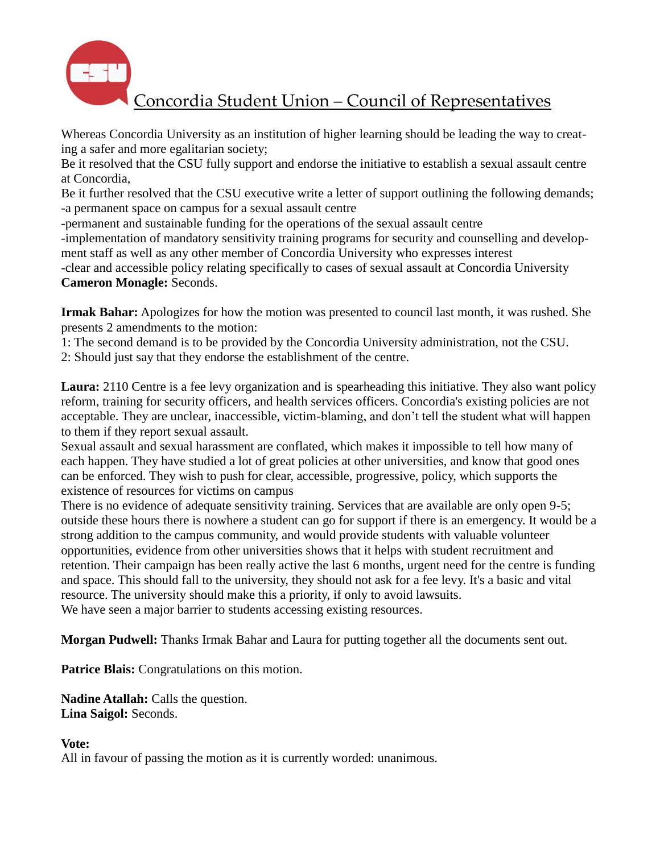

Whereas Concordia University as an institution of higher learning should be leading the way to creating a safer and more egalitarian society;

Be it resolved that the CSU fully support and endorse the initiative to establish a sexual assault centre at Concordia,

Be it further resolved that the CSU executive write a letter of support outlining the following demands; -a permanent space on campus for a sexual assault centre

-permanent and sustainable funding for the operations of the sexual assault centre

-implementation of mandatory sensitivity training programs for security and counselling and development staff as well as any other member of Concordia University who expresses interest

-clear and accessible policy relating specifically to cases of sexual assault at Concordia University **Cameron Monagle:** Seconds.

**Irmak Bahar:** Apologizes for how the motion was presented to council last month, it was rushed. She presents 2 amendments to the motion:

1: The second demand is to be provided by the Concordia University administration, not the CSU.

2: Should just say that they endorse the establishment of the centre.

**Laura:** 2110 Centre is a fee levy organization and is spearheading this initiative. They also want policy reform, training for security officers, and health services officers. Concordia's existing policies are not acceptable. They are unclear, inaccessible, victim-blaming, and don't tell the student what will happen to them if they report sexual assault.

Sexual assault and sexual harassment are conflated, which makes it impossible to tell how many of each happen. They have studied a lot of great policies at other universities, and know that good ones can be enforced. They wish to push for clear, accessible, progressive, policy, which supports the existence of resources for victims on campus

There is no evidence of adequate sensitivity training. Services that are available are only open 9-5; outside these hours there is nowhere a student can go for support if there is an emergency. It would be a strong addition to the campus community, and would provide students with valuable volunteer opportunities, evidence from other universities shows that it helps with student recruitment and retention. Their campaign has been really active the last 6 months, urgent need for the centre is funding and space. This should fall to the university, they should not ask for a fee levy. It's a basic and vital resource. The university should make this a priority, if only to avoid lawsuits. We have seen a major barrier to students accessing existing resources.

**Morgan Pudwell:** Thanks Irmak Bahar and Laura for putting together all the documents sent out.

**Patrice Blais:** Congratulations on this motion.

**Nadine Atallah:** Calls the question. **Lina Saigol:** Seconds.

## **Vote:**

All in favour of passing the motion as it is currently worded: unanimous.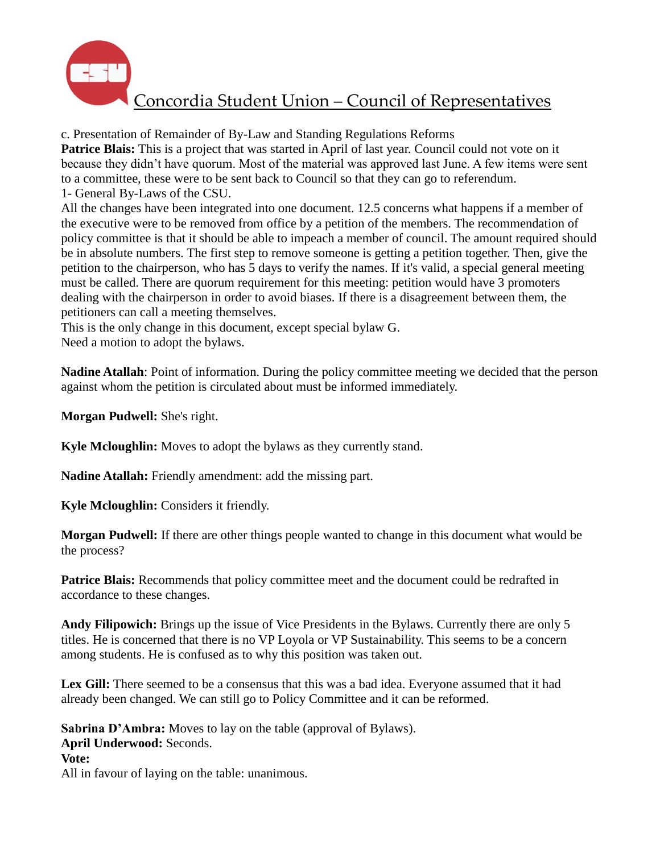

c. Presentation of Remainder of By-Law and Standing Regulations Reforms

**Patrice Blais:** This is a project that was started in April of last year. Council could not vote on it because they didn't have quorum. Most of the material was approved last June. A few items were sent to a committee, these were to be sent back to Council so that they can go to referendum. 1- General By-Laws of the CSU.

All the changes have been integrated into one document. 12.5 concerns what happens if a member of the executive were to be removed from office by a petition of the members. The recommendation of policy committee is that it should be able to impeach a member of council. The amount required should be in absolute numbers. The first step to remove someone is getting a petition together. Then, give the petition to the chairperson, who has 5 days to verify the names. If it's valid, a special general meeting must be called. There are quorum requirement for this meeting: petition would have 3 promoters dealing with the chairperson in order to avoid biases. If there is a disagreement between them, the petitioners can call a meeting themselves.

This is the only change in this document, except special bylaw G. Need a motion to adopt the bylaws.

**Nadine Atallah**: Point of information. During the policy committee meeting we decided that the person against whom the petition is circulated about must be informed immediately.

**Morgan Pudwell:** She's right.

**Kyle Mcloughlin:** Moves to adopt the bylaws as they currently stand.

**Nadine Atallah:** Friendly amendment: add the missing part.

**Kyle Mcloughlin:** Considers it friendly.

**Morgan Pudwell:** If there are other things people wanted to change in this document what would be the process?

Patrice Blais: Recommends that policy committee meet and the document could be redrafted in accordance to these changes.

**Andy Filipowich:** Brings up the issue of Vice Presidents in the Bylaws. Currently there are only 5 titles. He is concerned that there is no VP Loyola or VP Sustainability. This seems to be a concern among students. He is confused as to why this position was taken out.

**Lex Gill:** There seemed to be a consensus that this was a bad idea. Everyone assumed that it had already been changed. We can still go to Policy Committee and it can be reformed.

**Sabrina D'Ambra:** Moves to lay on the table (approval of Bylaws). **April Underwood:** Seconds. **Vote:** All in favour of laying on the table: unanimous.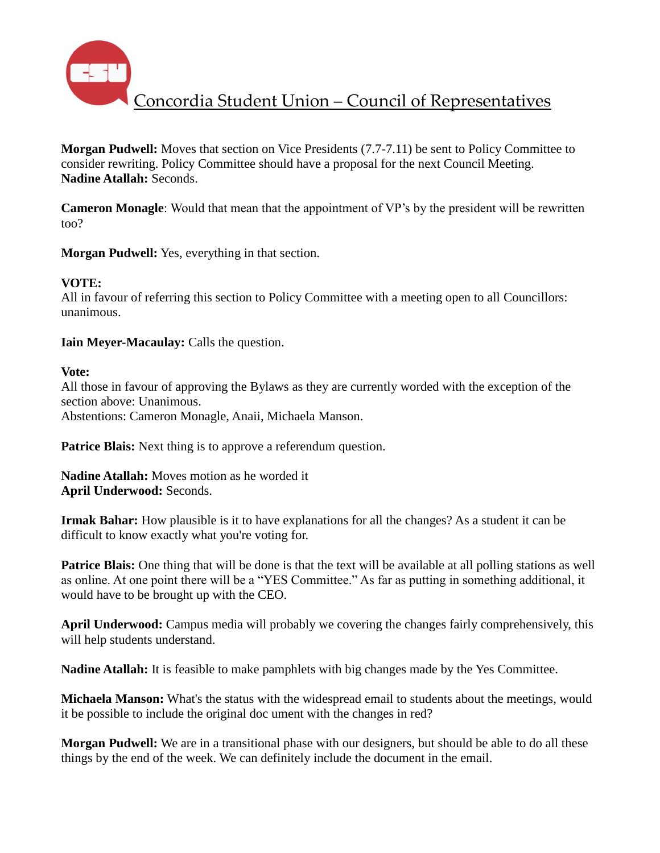

**Morgan Pudwell:** Moves that section on Vice Presidents (7.7-7.11) be sent to Policy Committee to consider rewriting. Policy Committee should have a proposal for the next Council Meeting. **Nadine Atallah:** Seconds.

**Cameron Monagle**: Would that mean that the appointment of VP's by the president will be rewritten too?

**Morgan Pudwell:** Yes, everything in that section.

## **VOTE:**

All in favour of referring this section to Policy Committee with a meeting open to all Councillors: unanimous.

**Iain Meyer-Macaulay:** Calls the question.

### **Vote:**

All those in favour of approving the Bylaws as they are currently worded with the exception of the section above: Unanimous.

Abstentions: Cameron Monagle, Anaii, Michaela Manson.

**Patrice Blais:** Next thing is to approve a referendum question.

**Nadine Atallah:** Moves motion as he worded it **April Underwood:** Seconds.

**Irmak Bahar:** How plausible is it to have explanations for all the changes? As a student it can be difficult to know exactly what you're voting for.

**Patrice Blais:** One thing that will be done is that the text will be available at all polling stations as well as online. At one point there will be a "YES Committee." As far as putting in something additional, it would have to be brought up with the CEO.

**April Underwood:** Campus media will probably we covering the changes fairly comprehensively, this will help students understand.

**Nadine Atallah:** It is feasible to make pamphlets with big changes made by the Yes Committee.

**Michaela Manson:** What's the status with the widespread email to students about the meetings, would it be possible to include the original doc ument with the changes in red?

**Morgan Pudwell:** We are in a transitional phase with our designers, but should be able to do all these things by the end of the week. We can definitely include the document in the email.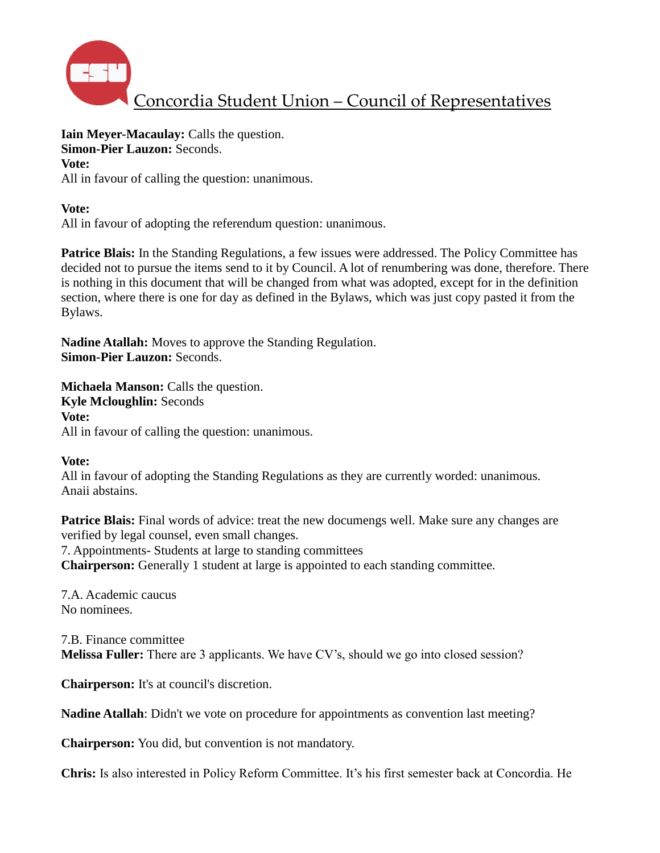

**Iain Meyer-Macaulay:** Calls the question. **Simon-Pier Lauzon:** Seconds. **Vote:** All in favour of calling the question: unanimous.

### **Vote:**

All in favour of adopting the referendum question: unanimous.

**Patrice Blais:** In the Standing Regulations, a few issues were addressed. The Policy Committee has decided not to pursue the items send to it by Council. A lot of renumbering was done, therefore. There is nothing in this document that will be changed from what was adopted, except for in the definition section, where there is one for day as defined in the Bylaws, which was just copy pasted it from the Bylaws.

**Nadine Atallah:** Moves to approve the Standing Regulation. **Simon-Pier Lauzon:** Seconds.

**Michaela Manson:** Calls the question. **Kyle Mcloughlin:** Seconds **Vote:** All in favour of calling the question: unanimous.

### **Vote:**

All in favour of adopting the Standing Regulations as they are currently worded: unanimous. Anaii abstains.

Patrice Blais: Final words of advice: treat the new documengs well. Make sure any changes are verified by legal counsel, even small changes.

7. Appointments- Students at large to standing committees

**Chairperson:** Generally 1 student at large is appointed to each standing committee.

7.A. Academic caucus No nominees.

7.B. Finance committee **Melissa Fuller:** There are 3 applicants. We have CV's, should we go into closed session?

**Chairperson:** It's at council's discretion.

**Nadine Atallah**: Didn't we vote on procedure for appointments as convention last meeting?

**Chairperson:** You did, but convention is not mandatory.

**Chris:** Is also interested in Policy Reform Committee. It's his first semester back at Concordia. He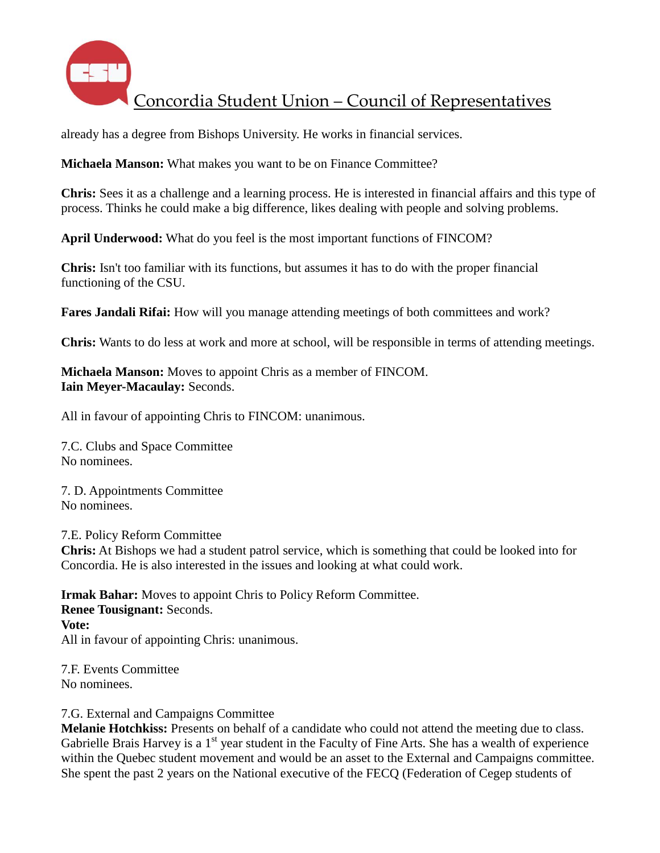

already has a degree from Bishops University. He works in financial services.

**Michaela Manson:** What makes you want to be on Finance Committee?

**Chris:** Sees it as a challenge and a learning process. He is interested in financial affairs and this type of process. Thinks he could make a big difference, likes dealing with people and solving problems.

**April Underwood:** What do you feel is the most important functions of FINCOM?

**Chris:** Isn't too familiar with its functions, but assumes it has to do with the proper financial functioning of the CSU.

**Fares Jandali Rifai:** How will you manage attending meetings of both committees and work?

**Chris:** Wants to do less at work and more at school, will be responsible in terms of attending meetings.

**Michaela Manson:** Moves to appoint Chris as a member of FINCOM. **Iain Meyer-Macaulay:** Seconds.

All in favour of appointing Chris to FINCOM: unanimous.

7.C. Clubs and Space Committee No nominees.

7. D. Appointments Committee No nominees.

7.E. Policy Reform Committee **Chris:** At Bishops we had a student patrol service, which is something that could be looked into for Concordia. He is also interested in the issues and looking at what could work.

**Irmak Bahar:** Moves to appoint Chris to Policy Reform Committee. **Renee Tousignant:** Seconds. **Vote:** All in favour of appointing Chris: unanimous.

7.F. Events Committee No nominees.

### 7.G. External and Campaigns Committee

**Melanie Hotchkiss:** Presents on behalf of a candidate who could not attend the meeting due to class. Gabrielle Brais Harvey is a  $1<sup>st</sup>$  year student in the Faculty of Fine Arts. She has a wealth of experience within the Quebec student movement and would be an asset to the External and Campaigns committee. She spent the past 2 years on the National executive of the FECQ (Federation of Cegep students of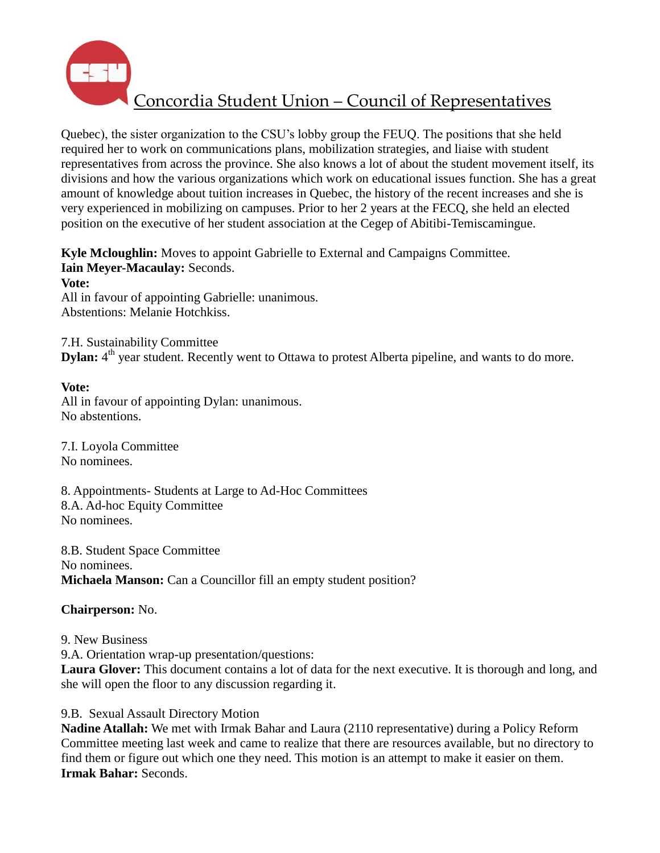

Quebec), the sister organization to the CSU's lobby group the FEUQ. The positions that she held required her to work on communications plans, mobilization strategies, and liaise with student representatives from across the province. She also knows a lot of about the student movement itself, its divisions and how the various organizations which work on educational issues function. She has a great amount of knowledge about tuition increases in Quebec, the history of the recent increases and she is very experienced in mobilizing on campuses. Prior to her 2 years at the FECQ, she held an elected position on the executive of her student association at the Cegep of Abitibi-Temiscamingue.

**Kyle Mcloughlin:** Moves to appoint Gabrielle to External and Campaigns Committee. **Iain Meyer-Macaulay:** Seconds. **Vote:** All in favour of appointing Gabrielle: unanimous. Abstentions: Melanie Hotchkiss.

7.H. Sustainability Committee **Dylan:** 4<sup>th</sup> year student. Recently went to Ottawa to protest Alberta pipeline, and wants to do more.

#### **Vote:**

All in favour of appointing Dylan: unanimous. No abstentions.

7.I. Loyola Committee No nominees.

8. Appointments- Students at Large to Ad-Hoc Committees 8.A. Ad-hoc Equity Committee No nominees.

8.B. Student Space Committee No nominees. **Michaela Manson:** Can a Councillor fill an empty student position?

**Chairperson:** No.

9. New Business

9.A. Orientation wrap-up presentation/questions:

**Laura Glover:** This document contains a lot of data for the next executive. It is thorough and long, and she will open the floor to any discussion regarding it.

### 9.B. Sexual Assault Directory Motion

**Nadine Atallah:** We met with Irmak Bahar and Laura (2110 representative) during a Policy Reform Committee meeting last week and came to realize that there are resources available, but no directory to find them or figure out which one they need. This motion is an attempt to make it easier on them. **Irmak Bahar:** Seconds.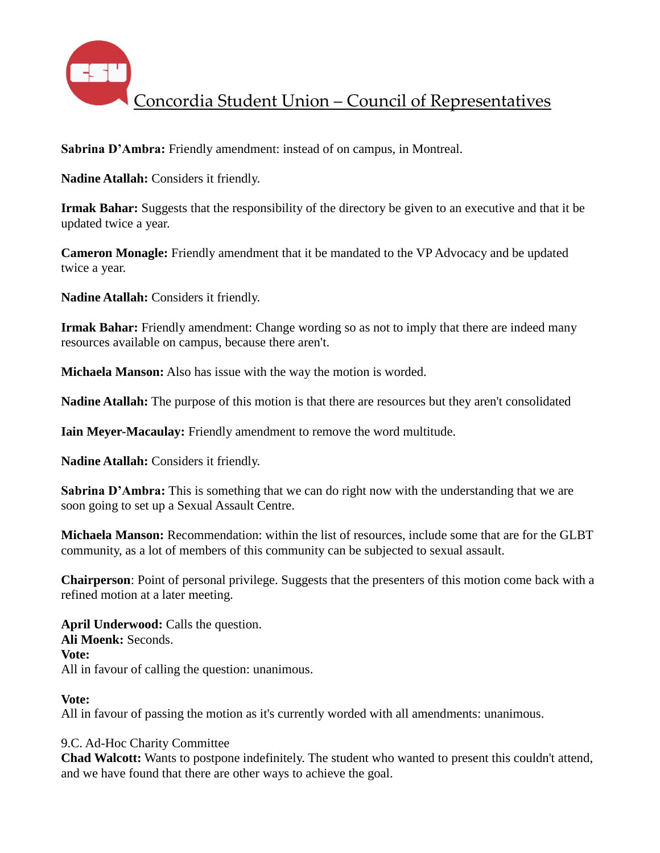

**Sabrina D'Ambra:** Friendly amendment: instead of on campus, in Montreal.

**Nadine Atallah:** Considers it friendly.

**Irmak Bahar:** Suggests that the responsibility of the directory be given to an executive and that it be updated twice a year.

**Cameron Monagle:** Friendly amendment that it be mandated to the VP Advocacy and be updated twice a year.

**Nadine Atallah:** Considers it friendly.

**Irmak Bahar:** Friendly amendment: Change wording so as not to imply that there are indeed many resources available on campus, because there aren't.

**Michaela Manson:** Also has issue with the way the motion is worded.

**Nadine Atallah:** The purpose of this motion is that there are resources but they aren't consolidated

**Iain Meyer-Macaulay:** Friendly amendment to remove the word multitude.

**Nadine Atallah:** Considers it friendly.

**Sabrina D'Ambra:** This is something that we can do right now with the understanding that we are soon going to set up a Sexual Assault Centre.

**Michaela Manson:** Recommendation: within the list of resources, include some that are for the GLBT community, as a lot of members of this community can be subjected to sexual assault.

**Chairperson**: Point of personal privilege. Suggests that the presenters of this motion come back with a refined motion at a later meeting.

**April Underwood:** Calls the question. **Ali Moenk:** Seconds. **Vote:** All in favour of calling the question: unanimous.

## **Vote:**

All in favour of passing the motion as it's currently worded with all amendments: unanimous.

## 9.C. Ad-Hoc Charity Committee

**Chad Walcott:** Wants to postpone indefinitely. The student who wanted to present this couldn't attend, and we have found that there are other ways to achieve the goal.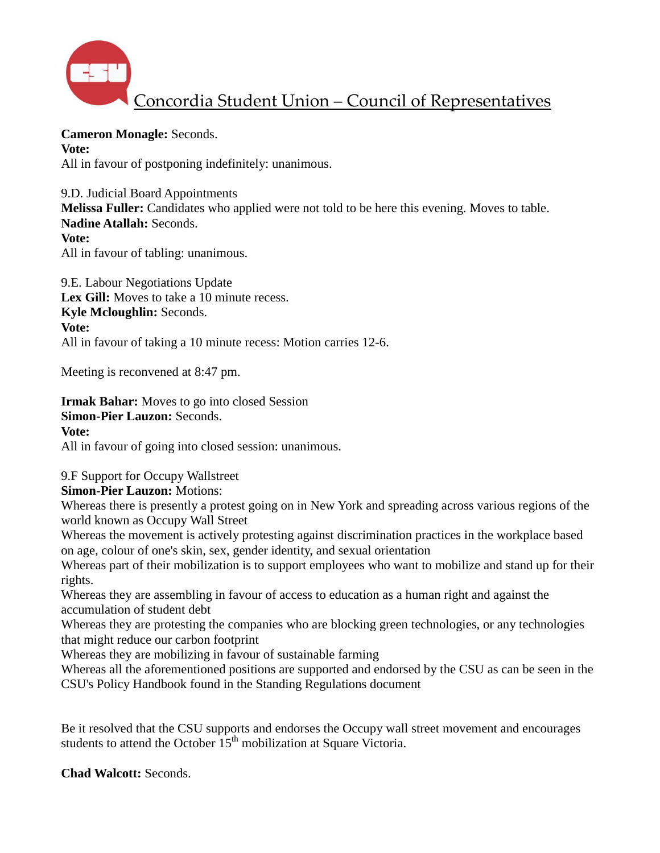

**Cameron Monagle:** Seconds.

**Vote:**

All in favour of postponing indefinitely: unanimous.

9.D. Judicial Board Appointments **Melissa Fuller:** Candidates who applied were not told to be here this evening. Moves to table. **Nadine Atallah:** Seconds. **Vote:** All in favour of tabling: unanimous.

9.E. Labour Negotiations Update Lex Gill: Moves to take a 10 minute recess. **Kyle Mcloughlin:** Seconds. **Vote:** All in favour of taking a 10 minute recess: Motion carries 12-6.

Meeting is reconvened at 8:47 pm.

**Irmak Bahar:** Moves to go into closed Session

## **Simon-Pier Lauzon:** Seconds.

**Vote:**

All in favour of going into closed session: unanimous.

9.F Support for Occupy Wallstreet

**Simon-Pier Lauzon:** Motions:

Whereas there is presently a protest going on in New York and spreading across various regions of the world known as Occupy Wall Street

Whereas the movement is actively protesting against discrimination practices in the workplace based on age, colour of one's skin, sex, gender identity, and sexual orientation

Whereas part of their mobilization is to support employees who want to mobilize and stand up for their rights.

Whereas they are assembling in favour of access to education as a human right and against the accumulation of student debt

Whereas they are protesting the companies who are blocking green technologies, or any technologies that might reduce our carbon footprint

Whereas they are mobilizing in favour of sustainable farming

Whereas all the aforementioned positions are supported and endorsed by the CSU as can be seen in the CSU's Policy Handbook found in the Standing Regulations document

Be it resolved that the CSU supports and endorses the Occupy wall street movement and encourages students to attend the October  $15<sup>th</sup>$  mobilization at Square Victoria.

**Chad Walcott:** Seconds.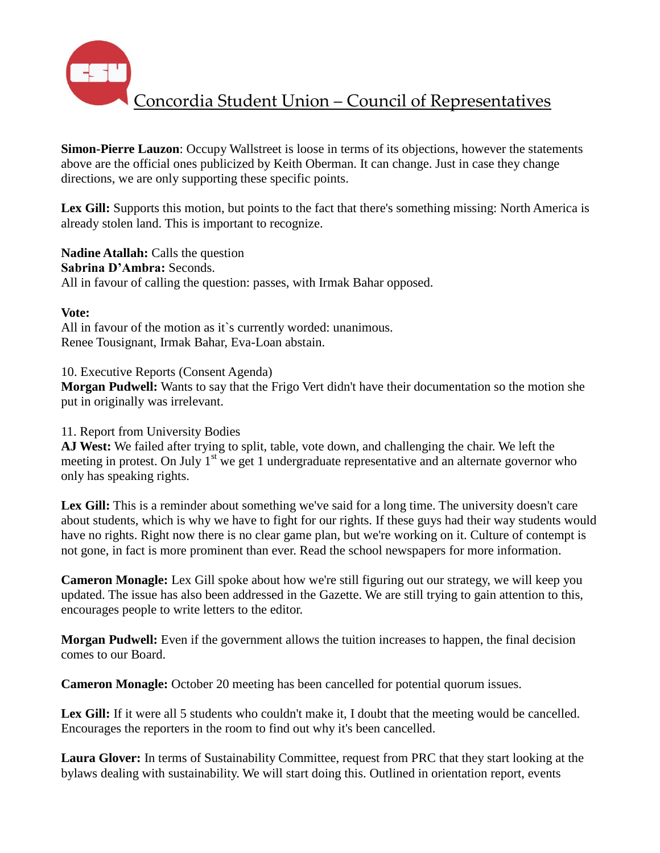

**Simon-Pierre Lauzon**: Occupy Wallstreet is loose in terms of its objections, however the statements above are the official ones publicized by Keith Oberman. It can change. Just in case they change directions, we are only supporting these specific points.

Lex Gill: Supports this motion, but points to the fact that there's something missing: North America is already stolen land. This is important to recognize.

**Nadine Atallah:** Calls the question **Sabrina D'Ambra:** Seconds. All in favour of calling the question: passes, with Irmak Bahar opposed.

### **Vote:**

All in favour of the motion as it's currently worded: unanimous. Renee Tousignant, Irmak Bahar, Eva-Loan abstain.

10. Executive Reports (Consent Agenda)

**Morgan Pudwell:** Wants to say that the Frigo Vert didn't have their documentation so the motion she put in originally was irrelevant.

11. Report from University Bodies

**AJ West:** We failed after trying to split, table, vote down, and challenging the chair. We left the meeting in protest. On July  $1<sup>st</sup>$  we get 1 undergraduate representative and an alternate governor who only has speaking rights.

Lex Gill: This is a reminder about something we've said for a long time. The university doesn't care about students, which is why we have to fight for our rights. If these guys had their way students would have no rights. Right now there is no clear game plan, but we're working on it. Culture of contempt is not gone, in fact is more prominent than ever. Read the school newspapers for more information.

**Cameron Monagle:** Lex Gill spoke about how we're still figuring out our strategy, we will keep you updated. The issue has also been addressed in the Gazette. We are still trying to gain attention to this, encourages people to write letters to the editor.

**Morgan Pudwell:** Even if the government allows the tuition increases to happen, the final decision comes to our Board.

**Cameron Monagle:** October 20 meeting has been cancelled for potential quorum issues.

Lex Gill: If it were all 5 students who couldn't make it, I doubt that the meeting would be cancelled. Encourages the reporters in the room to find out why it's been cancelled.

**Laura Glover:** In terms of Sustainability Committee, request from PRC that they start looking at the bylaws dealing with sustainability. We will start doing this. Outlined in orientation report, events